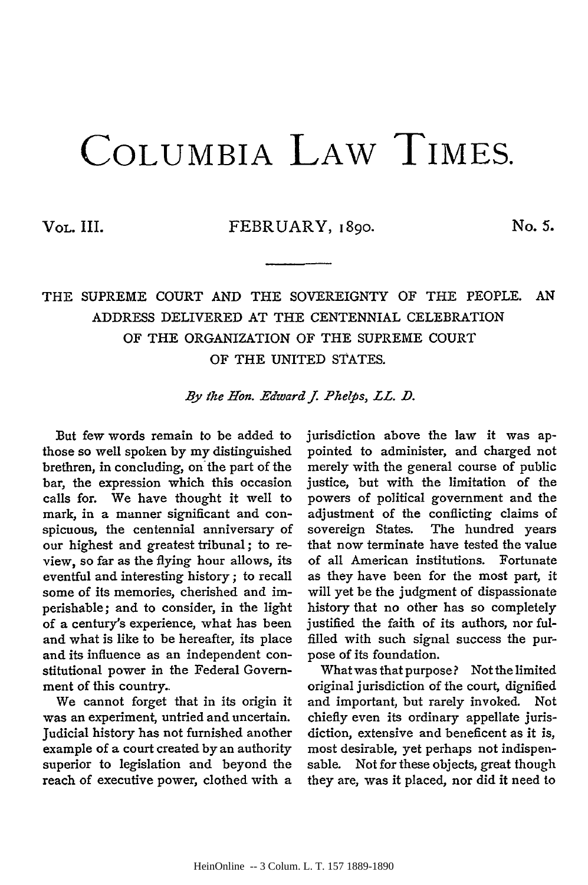## **CoLUMBIA LAw TIMES.**

Vol. III. FEBRUARY, 1890. No. 5.

## THE SUPREME COURT AND THE SOVEREIGNTY OF THE PEOPLE. AN ADDRESS DELIVERED AT THE CENTENNIAL CELEBRATION OF THE ORGANIZATION OF THE SUPREME COURT OF THE UNITED STATES.

## By the Hon. Edward *J. Phelps, LL. D.*

But few words remain to be added to those so well spoken by my distinguished brethren, in concluding, on· the part of the bar, the expression which this occasion calls for. We have thought it well to mark, in a manner significant and conspicuous, the centennial anniversary of our highest and greatest tribunal ; to review, so far as the flying hour allows, its eventful and interesting history; to recall some of its memories, cherished and imperishable; and to consider, in the light of a century's experience, what has been and what is like to be hereafter, its place and its influence as an independent constitutional power in the Federal Government of this country.

We cannot forget that in its origin it was an experiment, untried and uncertain. Judicial history has not furnished another example of a court created by an authority superior to legislation and beyond the reach of executive power, clothed with a jurisdiction above the law it was appointed to administer, and charged not merely with the general course of public justice, but with the limitation of the powers of political government and the adjustment of the conflicting claims of sovereign States. The hundred years that now terminate have tested the value of all American institutions. Fortunate as they have been for the most part, it will yet be the judgment of dispassionate history that no other has so completely justified the faith of its authors, nor fulfilled with such signal success the purpose of its foundation.

What was that purpose? Not the limited original jurisdiction of the court, dignified and important, but rarely invoked. Not chiefly even its ordinary appellate jurisdiction, extensive and beneficent as it is, most desirable, yet perhaps not indispensable. Not for these objects, great though they are, was it placed, nor did it need to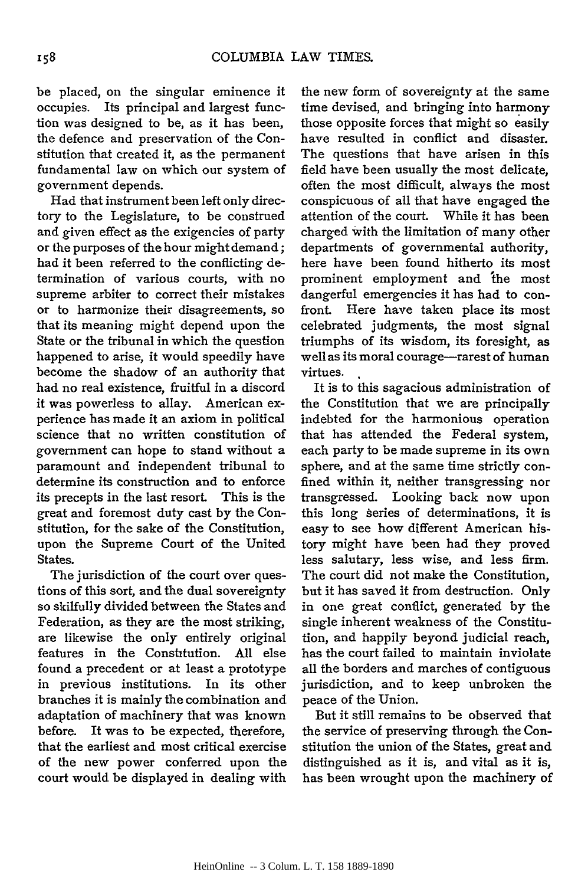be placed, on the singular eminence it occupies. Its principal and largest function was designed to be, as it has been, the defence and preservation of the Constitution that created it, as the permanent fundamental law on which our system of government depends.

Had that instrument been left only directory to the Legislature, to be construed and given effect as the exigencies of party or the purposes of the hour might demand; had it been referred to the conflicting determination of various courts, with no supreme arbiter to correct their mistakes or to harmonize their disagreements, so that its meaning might depend upon the State or the tribunal in which the question happened to arise, it would speedily have become the shadow of an authority that had no real existence, fruitful in a discord it was powerless to allay. American experience has made it an axiom in political science that no written constitution of government can hope to stand without a paramount and independent tribunal to determine its construction and to enforce its precepts in the last resort This is the great and foremost duty cast by the Constitution, for the sake of the Constitution, upon the Supreme Court of the United States.

The jurisdiction of the court over questions of this sort, and the dual sovereignty so skilfully divided between the States and Federation, as they are the most striking, are likewise the only entirely original features in the Constitution. All else found a precedent or at least a prototype in previous institutions. In its other branches it is mainly the combination and adaptation of machinery that was known before. It was to be expected, therefore, that the earliest and most critical exercise of the new power conferred upon the court would be displayed in dealing with the new form of sovereignty at the same time devised, and bringing into harmony those opposite forces that might so easily have resulted in conflict and disaster. The questions that have arisen in this field have been usually the most delicate, often the most difficult, always the most conspicuous of all that have engaged the attention of the court. While it has been charged with the limitation of many other departments of governmental authority, here have been found hitherto its most prominent employment and the most dangerful emergencies it has had to confront Here have taken place its most celebrated judgments, the most signal triumphs of its wisdom, its foresight, as well as its moral courage-rarest of human virtues. .

It is to this sagacious administration of the Constitution that we are principally indebted for the harmonious operation that has attended the Federal system, each party to be made supreme in its own sphere, and at the same time strictly confined within it, neither transgressing nor transgressed. Looking back now upon this long series of determinations, it is easy to see how different American history might have been had they proved less salutary, less wise, and less firm. The court did not make the Constitution, but it has saved it from destruction. Only in one great conflict, generated by the single inherent weakness of the Constitution, and happily beyond judicial reach, has the court failed to maintain inviolate all the borders and marches of contiguous jurisdiction, and to keep unbroken the peace of the Union.

But it still remains to be observed that the service of preserving through the Constitution the union of the States, great and distinguished as it is, and vital as it is, has been wrought upon the machinery of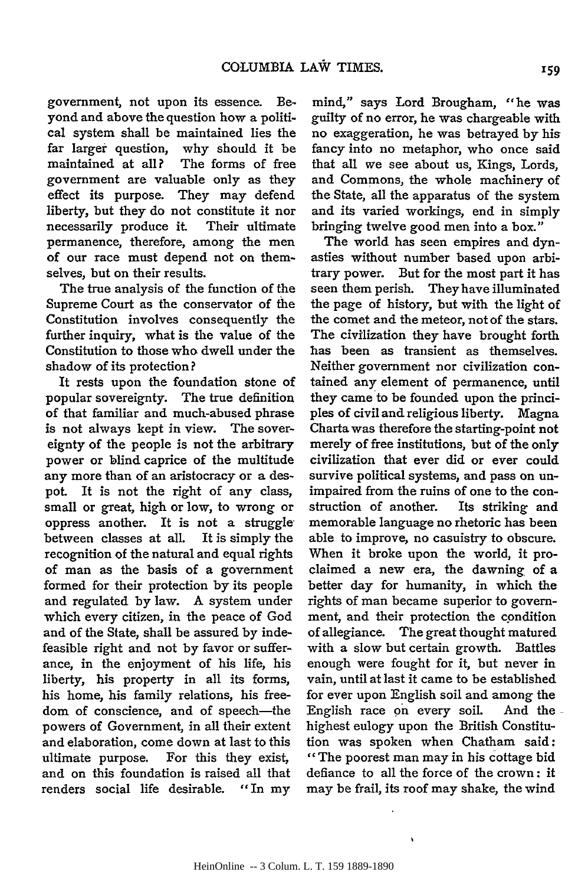government, not upon its essence. Be~ yond and above the question how a political system shall be maintained lies the far larger question, why should it be maintained at all? The forms of free government are valuable only as they effect its purpose. They may defend liberty, but they do not constitute it nor necessarily produce it Their ultimate permanence, therefore, among the men of our race must depend not on them~ selves, but on their results.

The true analysis of the function of the Supreme Court as the conservator of the Constitution involves consequently the further inquiry, what is the value of the Constitution to those who dwell under the shadow of its protection?

It rests upon the foundation stone of popular sovereignty. The true definition of that familiar and much-abused phrase is not always kept in view. The sovereignty of the people is not the arbitrary power or blind caprice of the multitude any more than of an aristocracy or a despot. It is not the right of any class, small or great, high or low, to wrong or oppress another. It is not a struggle between classes at all. It is simply the recognition of the natural and equal rights of man as the basis of a government formed for their protection by its people and regulated by law. A system under which every citizen, in the peace of God and of the State, shall be assured by indefeasible right and not by favor or sufferance, in the enjoyment of his life, his liberty, his property in all its forms, his home, his family relations, his freedom of conscience, and of speech-the powers of Government, in all their extent and elaboration, come down at last to this ultimate purpose. For this they exist, and on this foundation is raised all that renders social life desirable. "In my may be frail, its roof may shake, the wind

mind," says Lord Brougham, "he was guilty of no error, he was chargeable with no exaggeration, he was betrayed by his fancy into no metaphor, who once said that all we see about us, Kings, Lords, and Commons, the whole machinery of the State, all the apparatus of the system and its varied workings, end in simply bringing twelve good men into a box."

The world has seen empires and dynasties without number based upon arbitrary power. But for the most part it has seen them perish. They have illuminated the page of history, but with the light of the comet and the meteor, not of the stars. The civilization they have brought forth has been as transient as themselves. Neither government nor civilization con~ tained any element of permanence, until they came to be founded upon the principles of civil and religious liberty. Magna Charta was therefore the starting-point not merely of free institutions, but of the only civilization that ever did or ever could survive political systems, and pass on un~ impaired from the ruins of one to the construction of another. Its striking and memorable language no rhetoric has been able to improve, no casuistry to obscure. When it broke upon the world, it proclaimed a new era, the dawning of a better day for humanity, in which the rights of man became superior to govern~ ment, and their protection the cpndition of allegiance. The great thought matured with a slow but certain growth. Battles enough were fought for it, but never in vain, until at last it came to be established for ever upon English soil and among the English race on every soil. And the highest eulogy upon the British Constitu~ tion was spoken when Chatham said: "The poorest man may in his cottage bid defiance to all the force of the crown : it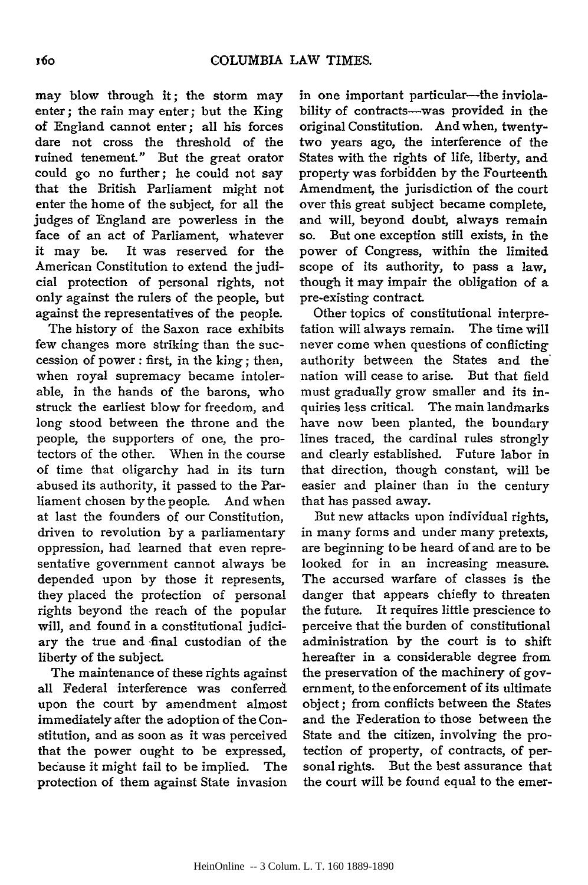may blow through it; the storm may enter; the rain may enter; but the King of England cannot enter; all his forces dare not cross the threshold of the ruined tenement" But the great orator could go no further; he could not say that the British Parliament might not enter the home of the subject, for all the judges of England are powerless in the face of an act of Parliament, whatever it may be. It was reserved for the American Constitution to extend the judicial protection of personal rights, not only against the rulers of the people, but against the representatives of the people.

The history of the Saxon race exhibits few changes more striking than the succession of power : first, in the king ; then, when royal supremacy became intolerable, in the hands of the barons, who struck the earliest blow for freedom, and long stood between the throne and the people, the supporters of one, the protectors of the other. When in the course of time that oligarchy had in its turn abused its authority, it passed to the Parliament chosen by the people. And when at last the founders of our Constitution, driven to revolution by a parliamentary oppression, had learned that even representative government cannot always be depended upon by those it represents, they placed the protection of personal rights beyond the reach of the popular will, and found in a constitutional judiciary the true and -final custodian of the liberty of the subject.

The maintenance of these rights against all Federal interference was conferred. upon the court by amendment almost immediately after the adoption of the Constitution, and as soon as it was perceived that the power ought to be expressed, because it might fail to be implied. The protection of them against State invasion

in one important particular—the inviolability of contracts--was provided in the original Constitution. And when, twentytwo years ago, the interference of the States with the rights of life, liberty, and property was forbidden by the Fourteenth Amendment, the jurisdiction of the court over this great subject became complete, and will, beyond doubt, always remain so. But one exception still exists, in the power of Congress, within the limited scope of its authority, to pass a law, though it may impair the obligation of a pre-existing contract

Other topics of constitutional interpretation will always remain. The time will never come when questions of conflicting authority between the States and the' nation will cease to arise. But that field must gradually grow smaller and its inquiries less critical. The main landmarks have now been planted, the boundary lines traced, the cardinal rules strongly and clearly established. Future labor in that direction, though constant, will be easier and plainer than in the century that has passed away.

But new attacks upon individual rights, in many forms and under many pretexts, are beginning to be heard of and are to be looked for in an increasing measure. The accursed warfare of classes is the danger that appears chiefly to threaten the future. It requires little prescience to perceive that the burden of constitutional administration by the court is to shift hereafter in a considerable degree from the preservation of the machinery of government, to the enforcement of its ultimate object; from conflicts between the States and the Federation to those between the State and the citizen, involving the protection of property, of contracts, of personal rights. But the best assurance that the court will be found equal to the emer-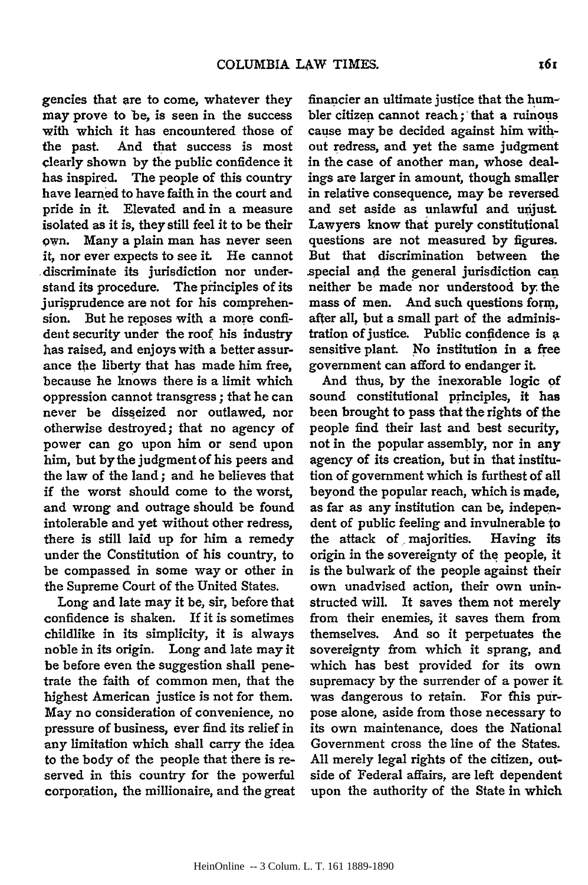gencies that are to come, whatever they may prove to be, is seen in the success with which it has encountered those of the past. And that success is most clearly shown by the public confidence it has inspired. The people of this country have learned to have faith in the court and pride in it Elevated and in a measure isolated as it is, they still feel it to be their QWn. Many a plain man has never seen it, nor ever expects to see it. He cannot . discriminate its jurisdiction nor under~ stand its procedure. The principles of its jurisprudence are not for his comprehension. But he reposes with a more confident security under the roof his industry has raised, and enjoys with a better assurance the liberty that has made him free, because he knows there is a limit which oppression cannot transgress *;* that he can never be disseized nor outlawed, nor otherwise destroyed; that no agency of power can go upon him or send upon him, but by the judgment of his peers and the law of the land; and he believes that if the worst should come to the worst, and wrong and outrage should be found intolerable and yet without other redress, there is still laid up for him a remedy under the Constitution of his country, to be compassed in some way or other in the Supreme Court of the United States.

Long and late may it be, sir, before that confidence is shaken. If it is sometimes childlike in its simplicity, it is always noble in its origin. Long and late may it be before even the suggestion shall penetrate the faith of common men, that the highest American justice is not for them. May no consideration of convenience, no pressure of business, ever find its relief in any limitation which shall carry the idea to the body of the people that there is reserved in this country for the powerful corporation, the millionaire, and the great

financier an ultimate justice that the humbler citizen cannot reach; that a ruinous cause may be decided against him without redress, and yet the same judgment in the case of another man, whose dealings are larger in amount, though smaller in relative consequence, may be reversed and set aside as unlawful and unjust. Lawyers know that purely constitutional questions are not measured by figures. But that discrimination between the special and the general jurisdiction can neither be made. nor understood by. the mass of men. And such questions form. after all, but a small part of the administration of justice. Public confidence is a sensitive plant. No institution in a free government can afford to endanger it.

And thus, by the inexorable logic of sound constitutional principles, it has been brought to pass that the rights of the people find their last and best security, not in the popular assembly, nor in any agency of its creation, but in that institution of government which is furthest of all beyond the popular reach, which is made, as far as any institution can be, independent of public feeling and invulnerable to the attack of majorities. Having its origin in the sovereignty of the people, it is the bulwark of the people against their own unadvised action, their own uninstructed will. It saves them not merely from their enemies, it saves them from themselves. And so it perpetuates the sovereignty from which it sprang, and which has best provided for its own supremacy by the surrender of a power it was dangerous to retain. For this purpose alone, aside from those necessary to its own maintenance, does the National Government cross the line of the States. All merely legal rights of the citizen, outside of Federal affairs, are left dependent upon the authority of the State in which